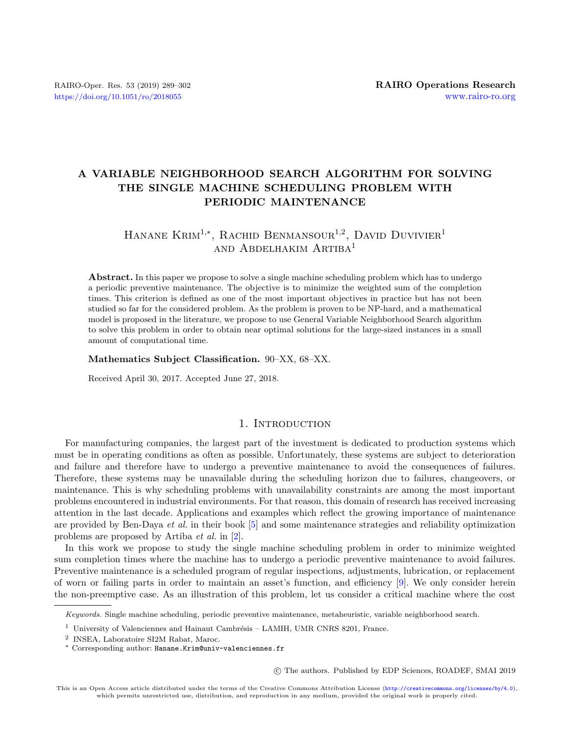# A VARIABLE NEIGHBORHOOD SEARCH ALGORITHM FOR SOLVING THE SINGLE MACHINE SCHEDULING PROBLEM WITH PERIODIC MAINTENANCE

# HANANE KRIM<sup>1,\*</sup>, RACHID BENMANSOUR<sup>1,2</sup>, DAVID DUVIVIER<sup>1</sup> and Abdelhakim Artiba<sup>1</sup>

Abstract. In this paper we propose to solve a single machine scheduling problem which has to undergo a periodic preventive maintenance. The objective is to minimize the weighted sum of the completion times. This criterion is defined as one of the most important objectives in practice but has not been studied so far for the considered problem. As the problem is proven to be NP-hard, and a mathematical model is proposed in the literature, we propose to use General Variable Neighborhood Search algorithm to solve this problem in order to obtain near optimal solutions for the large-sized instances in a small amount of computational time.

# Mathematics Subject Classification. 90–XX, 68–XX.

Received April 30, 2017. Accepted June 27, 2018.

# 1. INTRODUCTION

For manufacturing companies, the largest part of the investment is dedicated to production systems which must be in operating conditions as often as possible. Unfortunately, these systems are subject to deterioration and failure and therefore have to undergo a preventive maintenance to avoid the consequences of failures. Therefore, these systems may be unavailable during the scheduling horizon due to failures, changeovers, or maintenance. This is why scheduling problems with unavailability constraints are among the most important problems encountered in industrial environments. For that reason, this domain of research has received increasing attention in the last decade. Applications and examples which reflect the growing importance of maintenance are provided by Ben-Daya et al. in their book [\[5\]](#page-12-0) and some maintenance strategies and reliability optimization problems are proposed by Artiba et al. in [\[2\]](#page-12-1).

In this work we propose to study the single machine scheduling problem in order to minimize weighted sum completion times where the machine has to undergo a periodic preventive maintenance to avoid failures. Preventive maintenance is a scheduled program of regular inspections, adjustments, lubrication, or replacement of worn or failing parts in order to maintain an asset's function, and efficiency [\[9\]](#page-12-2). We only consider herein the non-preemptive case. As an illustration of this problem, let us consider a critical machine where the cost

c The authors. Published by EDP Sciences, ROADEF, SMAI 2019

Keywords. Single machine scheduling, periodic preventive maintenance, metaheuristic, variable neighborhood search.

 $1$  University of Valenciennes and Hainaut Cambrésis – LAMIH, UMR CNRS 8201, France.

<sup>2</sup> INSEA, Laboratoire SI2M Rabat, Maroc.

<sup>∗</sup> Corresponding author: [Hanane.Krim@univ-valenciennes.fr](mailto:Hanane.Krim@univ-valenciennes.fr)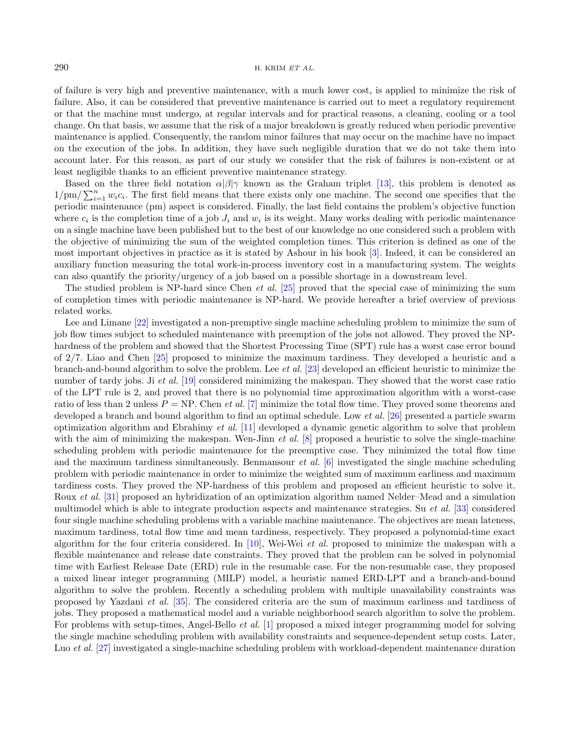of failure is very high and preventive maintenance, with a much lower cost, is applied to minimize the risk of failure. Also, it can be considered that preventive maintenance is carried out to meet a regulatory requirement or that the machine must undergo, at regular intervals and for practical reasons, a cleaning, cooling or a tool change. On that basis, we assume that the risk of a major breakdown is greatly reduced when periodic preventive maintenance is applied. Consequently, the random minor failures that may occur on the machine have no impact on the execution of the jobs. In addition, they have such negligible duration that we do not take them into account later. For this reason, as part of our study we consider that the risk of failures is non-existent or at least negligible thanks to an efficient preventive maintenance strategy.

Based on the three field notation  $\alpha|\beta|\gamma$  known as the Graham triplet [\[13\]](#page-12-3), this problem is denoted as  $1/m / \sum_{i=1}^{n} w_i c_i$ . The first field means that there exists only one machine. The second one specifies that the periodic maintenance (pm) aspect is considered. Finally, the last field contains the problem's objective function where  $c_i$  is the completion time of a job  $J_i$  and  $w_i$  is its weight. Many works dealing with periodic maintenance on a single machine have been published but to the best of our knowledge no one considered such a problem with the objective of minimizing the sum of the weighted completion times. This criterion is defined as one of the most important objectives in practice as it is stated by Ashour in his book [\[3\]](#page-12-4). Indeed, it can be considered an auxiliary function measuring the total work-in-process inventory cost in a manufacturing system. The weights can also quantify the priority/urgency of a job based on a possible shortage in a downstream level.

The studied problem is NP-hard since Chen *et al.* [\[25\]](#page-13-0) proved that the special case of minimizing the sum of completion times with periodic maintenance is NP-hard. We provide hereafter a brief overview of previous related works.

Lee and Limane [\[22\]](#page-12-5) investigated a non-premptive single machine scheduling problem to minimize the sum of job flow times subject to scheduled maintenance with preemption of the jobs not allowed. They proved the NPhardness of the problem and showed that the Shortest Processing Time (SPT) rule has a worst case error bound of 2/7. Liao and Chen [\[25\]](#page-13-0) proposed to minimize the maximum tardiness. They developed a heuristic and a branch-and-bound algorithm to solve the problem. Lee et al. [\[23\]](#page-12-6) developed an efficient heuristic to minimize the number of tardy jobs. Ji et al. [\[19\]](#page-12-7) considered minimizing the makespan. They showed that the worst case ratio of the LPT rule is 2, and proved that there is no polynomial time approximation algorithm with a worst-case ratio of less than 2 unless  $P = NP$ . Chen *et al.* [\[7\]](#page-12-8) minimize the total flow time. They proved some theorems and developed a branch and bound algorithm to find an optimal schedule. Low et al. [\[26\]](#page-13-1) presented a particle swarm optimization algorithm and Ebrahimy et al. [\[11\]](#page-12-9) developed a dynamic genetic algorithm to solve that problem with the aim of minimizing the makespan. Wen-Jinn *et al.*  $[8]$  proposed a heuristic to solve the single-machine scheduling problem with periodic maintenance for the preemptive case. They minimized the total flow time and the maximum tardiness simultaneously. Benmansour *et al.* [\[6\]](#page-12-11) investigated the single machine scheduling problem with periodic maintenance in order to minimize the weighted sum of maximum earliness and maximum tardiness costs. They proved the NP-hardness of this problem and proposed an efficient heuristic to solve it. Roux et al. [\[31\]](#page-13-2) proposed an hybridization of an optimization algorithm named Nelder–Mead and a simulation multimodel which is able to integrate production aspects and maintenance strategies. Su et al. [\[33\]](#page-13-3) considered four single machine scheduling problems with a variable machine maintenance. The objectives are mean lateness, maximum tardiness, total flow time and mean tardiness, respectively. They proposed a polynomial-time exact algorithm for the four criteria considered. In  $[10]$ , Wei-Wei *et al.* proposed to minimize the makespan with a flexible maintenance and release date constraints. They proved that the problem can be solved in polynomial time with Earliest Release Date (ERD) rule in the resumable case. For the non-resumable case, they proposed a mixed linear integer programming (MILP) model, a heuristic named ERD-LPT and a branch-and-bound algorithm to solve the problem. Recently a scheduling problem with multiple unavailability constraints was proposed by Yazdani et al. [\[35\]](#page-13-4). The considered criteria are the sum of maximum earliness and tardiness of jobs. They proposed a mathematical model and a variable neighborhood search algorithm to solve the problem. For problems with setup-times, Angel-Bello *et al.* [\[1\]](#page-12-13) proposed a mixed integer programming model for solving the single machine scheduling problem with availability constraints and sequence-dependent setup costs. Later, Luo *et al.* [\[27\]](#page-13-5) investigated a single-machine scheduling problem with workload-dependent maintenance duration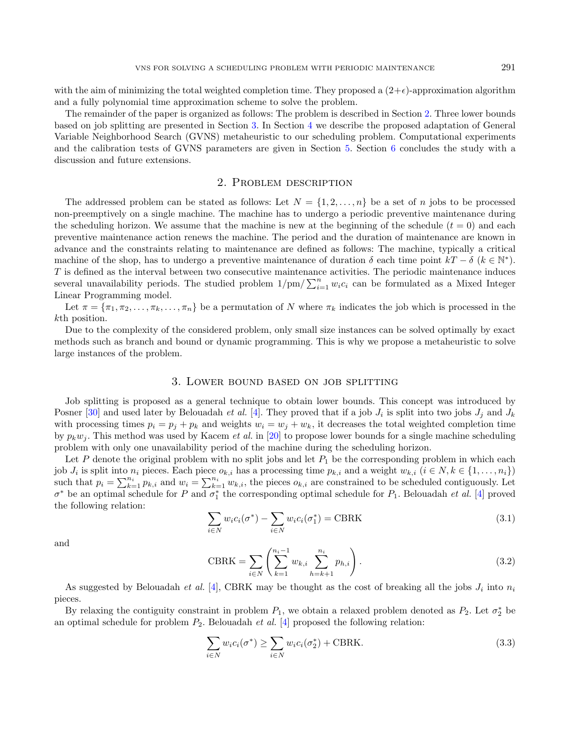with the aim of minimizing the total weighted completion time. They proposed a  $(2+\epsilon)$ -approximation algorithm and a fully polynomial time approximation scheme to solve the problem.

The remainder of the paper is organized as follows: The problem is described in Section [2.](#page-2-0) Three lower bounds based on job splitting are presented in Section [3.](#page-2-1) In Section [4](#page-3-0) we describe the proposed adaptation of General Variable Neighborhood Search (GVNS) metaheuristic to our scheduling problem. Computational experiments and the calibration tests of GVNS parameters are given in Section [5.](#page-5-0) Section [6](#page-11-0) concludes the study with a discussion and future extensions.

# 2. Problem description

<span id="page-2-0"></span>The addressed problem can be stated as follows: Let  $N = \{1, 2, ..., n\}$  be a set of n jobs to be processed non-preemptively on a single machine. The machine has to undergo a periodic preventive maintenance during the scheduling horizon. We assume that the machine is new at the beginning of the schedule  $(t = 0)$  and each preventive maintenance action renews the machine. The period and the duration of maintenance are known in advance and the constraints relating to maintenance are defined as follows: The machine, typically a critical machine of the shop, has to undergo a preventive maintenance of duration  $\delta$  each time point  $kT - \delta$  ( $k \in \mathbb{N}^*$ ). T is defined as the interval between two consecutive maintenance activities. The periodic maintenance induces several unavailability periods. The studied problem  $1/m / \sum_{i=1}^{n} w_i c_i$  can be formulated as a Mixed Integer Linear Programming model.

Let  $\pi = {\pi_1, \pi_2, \ldots, \pi_k, \ldots, \pi_n}$  be a permutation of N where  $\pi_k$  indicates the job which is processed in the kth position.

Due to the complexity of the considered problem, only small size instances can be solved optimally by exact methods such as branch and bound or dynamic programming. This is why we propose a metaheuristic to solve large instances of the problem.

# 3. Lower bound based on job splitting

<span id="page-2-1"></span>Job splitting is proposed as a general technique to obtain lower bounds. This concept was introduced by Posner [\[30\]](#page-13-6) and used later by Belouadah *et al.* [\[4\]](#page-12-14). They proved that if a job  $J_i$  is split into two jobs  $J_j$  and  $J_k$ with processing times  $p_i = p_j + p_k$  and weights  $w_i = w_j + w_k$ , it decreases the total weighted completion time by  $p_kw_j$ . This method was used by Kacem *et al.* in [\[20\]](#page-12-15) to propose lower bounds for a single machine scheduling problem with only one unavailability period of the machine during the scheduling horizon.

Let P denote the original problem with no split jobs and let  $P_1$  be the corresponding problem in which each job  $J_i$  is split into  $n_i$  pieces. Each piece  $o_{k,i}$  has a processing time  $p_{k,i}$  and a weight  $w_{k,i}$   $(i \in N, k \in \{1, \ldots, n_i\})$ such that  $p_i = \sum_{k=1}^{n_i} p_{k,i}$  and  $w_i = \sum_{k=1}^{n_i} w_{k,i}$ , the pieces  $o_{k,i}$  are constrained to be scheduled contiguously. Let  $\sigma^*$  be an optimal schedule for P and  $\sigma_1^*$  the corresponding optimal schedule for  $P_1$ . Belouadah et al. [\[4\]](#page-12-14) proved the following relation:

$$
\sum_{i \in N} w_i c_i(\sigma^*) - \sum_{i \in N} w_i c_i(\sigma_1^*) = \text{CBRK} \tag{3.1}
$$

and

$$
CBRK = \sum_{i \in N} \left( \sum_{k=1}^{n_i - 1} w_{k,i} \sum_{h=k+1}^{n_i} p_{h,i} \right).
$$
 (3.2)

As suggested by Belouadah *et al.* [\[4\]](#page-12-14), CBRK may be thought as the cost of breaking all the jobs  $J_i$  into  $n_i$ pieces.

By relaxing the contiguity constraint in problem  $P_1$ , we obtain a relaxed problem denoted as  $P_2$ . Let  $\sigma_2^*$  be an optimal schedule for problem  $P_2$ . Belouadah et al. [\[4\]](#page-12-14) proposed the following relation:

$$
\sum_{i \in N} w_i c_i(\sigma^*) \ge \sum_{i \in N} w_i c_i(\sigma_2^*) + \text{CBRK}.
$$
\n(3.3)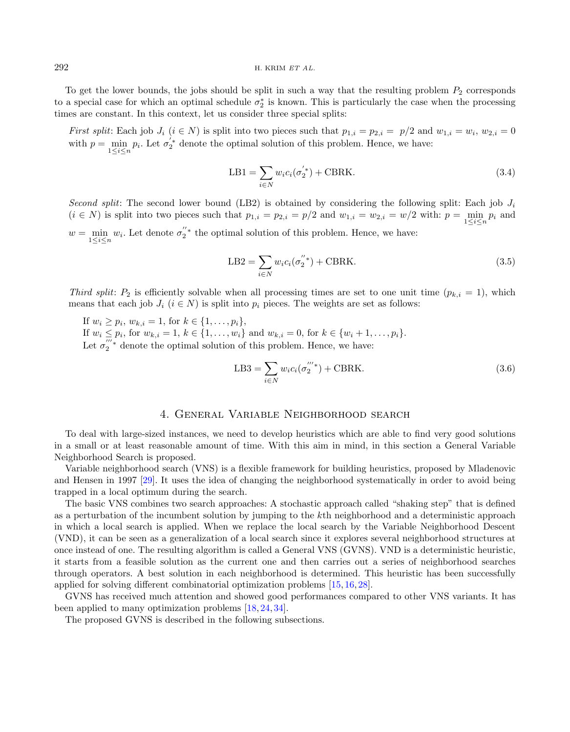#### $292$  H. KRIM ET AL.

To get the lower bounds, the jobs should be split in such a way that the resulting problem  $P_2$  corresponds to a special case for which an optimal schedule  $\sigma_2^*$  is known. This is particularly the case when the processing times are constant. In this context, let us consider three special splits:

First split: Each job  $J_i$   $(i \in N)$  is split into two pieces such that  $p_{1,i} = p_{2,i} = p/2$  and  $w_{1,i} = w_i$ ,  $w_{2,i} = 0$ with  $p = \min_{1 \leq i \leq n} p_i$ . Let  $\sigma_2^{'*}$  denote the optimal solution of this problem. Hence, we have:

$$
LB1 = \sum_{i \in N} w_i c_i (\sigma_2^{'*}) + CBRK.
$$
 (3.4)

Second split: The second lower bound (LB2) is obtained by considering the following split: Each job  $J_i$  $(i \in N)$  is split into two pieces such that  $p_{1,i} = p_{2,i} = p/2$  and  $w_{1,i} = w_{2,i} = w/2$  with:  $p = \min_{1 \le i \le n} p_i$  and  $w = \min_{1 \leq i \leq n} w_i$ . Let denote  $\sigma_2^{''*}$  the optimal solution of this problem. Hence, we have:

$$
LB2 = \sum_{i \in N} w_i c_i (\sigma_2''^*) + CBRK.
$$
 (3.5)

Third split:  $P_2$  is efficiently solvable when all processing times are set to one unit time  $(p_{k,i} = 1)$ , which means that each job  $J_i$  ( $i \in N$ ) is split into  $p_i$  pieces. The weights are set as follows:

If  $w_i \geq p_i$ ,  $w_{k,i} = 1$ , for  $k \in \{1, ..., p_i\}$ , If  $w_i \leq p_i$ , for  $w_{k,i} = 1, k \in \{1, ..., w_i\}$  and  $w_{k,i} = 0$ , for  $k \in \{w_i + 1, ..., p_i\}$ . Let  $\sigma_2^{'''*}$  denote the optimal solution of this problem. Hence, we have:

$$
LB3 = \sum_{i \in N} w_i c_i (\sigma_2^{'''}^*) + CBRK.
$$
 (3.6)

# 4. General Variable Neighborhood search

<span id="page-3-0"></span>To deal with large-sized instances, we need to develop heuristics which are able to find very good solutions in a small or at least reasonable amount of time. With this aim in mind, in this section a General Variable Neighborhood Search is proposed.

Variable neighborhood search (VNS) is a flexible framework for building heuristics, proposed by Mladenovic and Hensen in 1997 [\[29\]](#page-13-7). It uses the idea of changing the neighborhood systematically in order to avoid being trapped in a local optimum during the search.

The basic VNS combines two search approaches: A stochastic approach called "shaking step" that is defined as a perturbation of the incumbent solution by jumping to the kth neighborhood and a deterministic approach in which a local search is applied. When we replace the local search by the Variable Neighborhood Descent (VND), it can be seen as a generalization of a local search since it explores several neighborhood structures at once instead of one. The resulting algorithm is called a General VNS (GVNS). VND is a deterministic heuristic, it starts from a feasible solution as the current one and then carries out a series of neighborhood searches through operators. A best solution in each neighborhood is determined. This heuristic has been successfully applied for solving different combinatorial optimization problems [\[15,](#page-12-16) [16,](#page-12-17) [28\]](#page-13-8).

GVNS has received much attention and showed good performances compared to other VNS variants. It has been applied to many optimization problems [\[18,](#page-12-18) [24,](#page-13-9) [34\]](#page-13-10).

The proposed GVNS is described in the following subsections.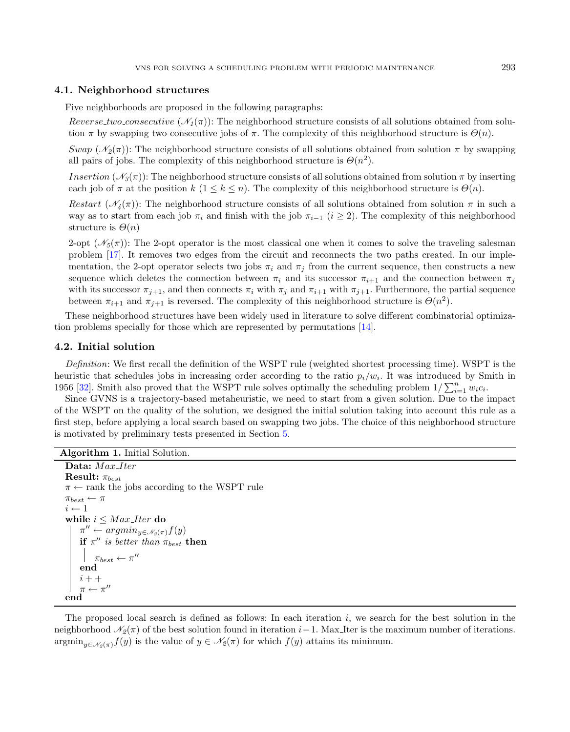# 4.1. Neighborhood structures

Five neighborhoods are proposed in the following paragraphs:

Reverse two consecutive  $(\mathcal{N}_1(\pi))$ : The neighborhood structure consists of all solutions obtained from solution  $\pi$  by swapping two consecutive jobs of  $\pi$ . The complexity of this neighborhood structure is  $\Theta(n)$ .

Swap ( $\mathcal{N}_2(\pi)$ ): The neighborhood structure consists of all solutions obtained from solution  $\pi$  by swapping all pairs of jobs. The complexity of this neighborhood structure is  $\Theta(n^2)$ .

Insertion ( $\mathcal{N}_3(\pi)$ ): The neighborhood structure consists of all solutions obtained from solution  $\pi$  by inserting each job of  $\pi$  at the position k  $(1 \leq k \leq n)$ . The complexity of this neighborhood structure is  $\Theta(n)$ .

Restart ( $\mathcal{N}_4(\pi)$ ): The neighborhood structure consists of all solutions obtained from solution  $\pi$  in such a way as to start from each job  $\pi_i$  and finish with the job  $\pi_{i-1}$  (i ≥ 2). The complexity of this neighborhood structure is  $\Theta(n)$ 

2-opt  $(\mathcal{N}_5(\pi))$ : The 2-opt operator is the most classical one when it comes to solve the traveling salesman problem [\[17\]](#page-12-19). It removes two edges from the circuit and reconnects the two paths created. In our implementation, the 2-opt operator selects two jobs  $\pi_i$  and  $\pi_j$  from the current sequence, then constructs a new sequence which deletes the connection between  $\pi_i$  and its successor  $\pi_{i+1}$  and the connection between  $\pi_i$ with its successor  $\pi_{j+1}$ , and then connects  $\pi_i$  with  $\pi_j$  and  $\pi_{i+1}$  with  $\pi_{j+1}$ . Furthermore, the partial sequence between  $\pi_{i+1}$  and  $\pi_{j+1}$  is reversed. The complexity of this neighborhood structure is  $\Theta(n^2)$ .

These neighborhood structures have been widely used in literature to solve different combinatorial optimization problems specially for those which are represented by permutations [\[14\]](#page-12-20).

### 4.2. Initial solution

Definition: We first recall the definition of the WSPT rule (weighted shortest processing time). WSPT is the heuristic that schedules jobs in increasing order according to the ratio  $p_i/w_i$ . It was introduced by Smith in 1956 [\[32\]](#page-13-11). Smith also proved that the WSPT rule solves optimally the scheduling problem  $1/\sum_{i=1}^{n} w_i c_i$ .

Since GVNS is a trajectory-based metaheuristic, we need to start from a given solution. Due to the impact of the WSPT on the quality of the solution, we designed the initial solution taking into account this rule as a first step, before applying a local search based on swapping two jobs. The choice of this neighborhood structure is motivated by preliminary tests presented in Section [5.](#page-5-0)

```
Algorithm 1. Initial Solution.
```

```
Data: Max_Iter
Result: \pi_{best}\pi \leftarrow rank the jobs according to the WSPT rule
\pi_{best} \leftarrow \pii \leftarrow 1while i \leq Max\_{Iter} do
     \pi'' \leftarrow argmin_{y \in \mathcal{N}_2(\pi)} f(y)if \pi'' is better than \pi_{best} then
          \pi_{best} \leftarrow \pi''end
    i + +\pi \leftarrow \pi''end
```
The proposed local search is defined as follows: In each iteration  $i$ , we search for the best solution in the neighborhood  $\mathcal{N}_2(\pi)$  of the best solution found in iteration i−1. Max Iter is the maximum number of iterations.  $\operatorname{argmin}_{y \in \mathscr{N}_2(\pi)} f(y)$  is the value of  $y \in \mathscr{N}_2(\pi)$  for which  $f(y)$  attains its minimum.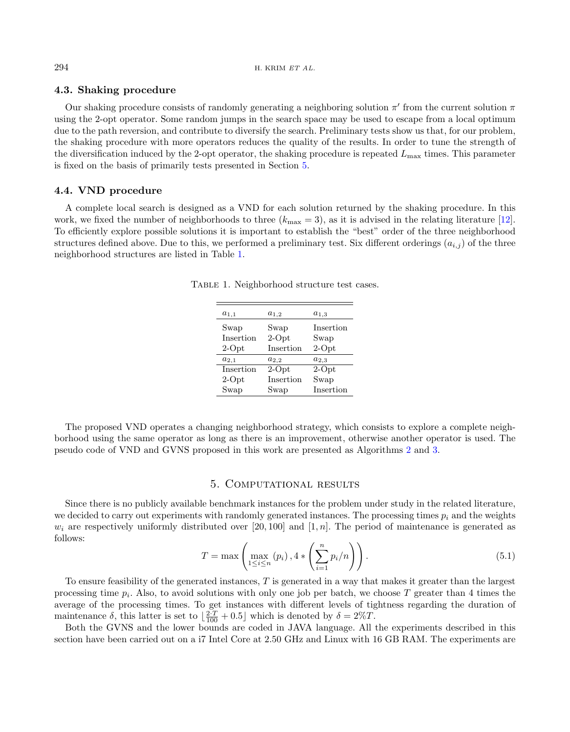# 4.3. Shaking procedure

Our shaking procedure consists of randomly generating a neighboring solution  $\pi'$  from the current solution  $\pi$ using the 2-opt operator. Some random jumps in the search space may be used to escape from a local optimum due to the path reversion, and contribute to diversify the search. Preliminary tests show us that, for our problem, the shaking procedure with more operators reduces the quality of the results. In order to tune the strength of the diversification induced by the 2-opt operator, the shaking procedure is repeated  $L_{\text{max}}$  times. This parameter is fixed on the basis of primarily tests presented in Section [5.](#page-5-0)

### 4.4. VND procedure

A complete local search is designed as a VND for each solution returned by the shaking procedure. In this work, we fixed the number of neighborhoods to three  $(k_{\text{max}} = 3)$ , as it is advised in the relating literature [\[12\]](#page-12-21). To efficiently explore possible solutions it is important to establish the "best" order of the three neighborhood structures defined above. Due to this, we performed a preliminary test. Six different orderings  $(a_{i,j})$  of the three neighborhood structures are listed in Table [1.](#page-5-1)

| $a_{1,1}$ | $a_{1,2}$ | $a_{1,3}$ |
|-----------|-----------|-----------|
| Swap      | Swap      | Insertion |
| Insertion | $2-Opt$   | Swap      |
| $2$ -Opt  | Insertion | $2$ -Opt  |
| $a_{2,1}$ | $a_{2,2}$ | $a_{2,3}$ |
| Insertion | $2-Opt$   | $2-Opt$   |
| $2$ -Opt  | Insertion | Swap      |
| Swap      | Swap      | Insertion |

<span id="page-5-1"></span>Table 1. Neighborhood structure test cases.

<span id="page-5-2"></span>The proposed VND operates a changing neighborhood strategy, which consists to explore a complete neighborhood using the same operator as long as there is an improvement, otherwise another operator is used. The pseudo code of VND and GVNS proposed in this work are presented as Algorithms [2](#page-5-2) and [3.](#page-5-2)

# 5. Computational results

<span id="page-5-0"></span>Since there is no publicly available benchmark instances for the problem under study in the related literature, we decided to carry out experiments with randomly generated instances. The processing times  $p_i$  and the weights  $w_i$  are respectively uniformly distributed over [20, 100] and [1, n]. The period of maintenance is generated as follows:

$$
T = \max\left(\max_{1 \leq i \leq n} (p_i), 4 * \left(\sum_{i=1}^n p_i/n\right)\right).
$$
\n(5.1)

To ensure feasibility of the generated instances,  $T$  is generated in a way that makes it greater than the largest processing time  $p_i$ . Also, to avoid solutions with only one job per batch, we choose T greater than 4 times the average of the processing times. To get instances with different levels of tightness regarding the duration of maintenance  $\delta$ , this latter is set to  $\left[\frac{2 \cdot T}{100} + 0.5\right]$  which is denoted by  $\delta = 2\%T$ .

Both the GVNS and the lower bounds are coded in JAVA language. All the experiments described in this section have been carried out on a i7 Intel Core at 2.50 GHz and Linux with 16 GB RAM. The experiments are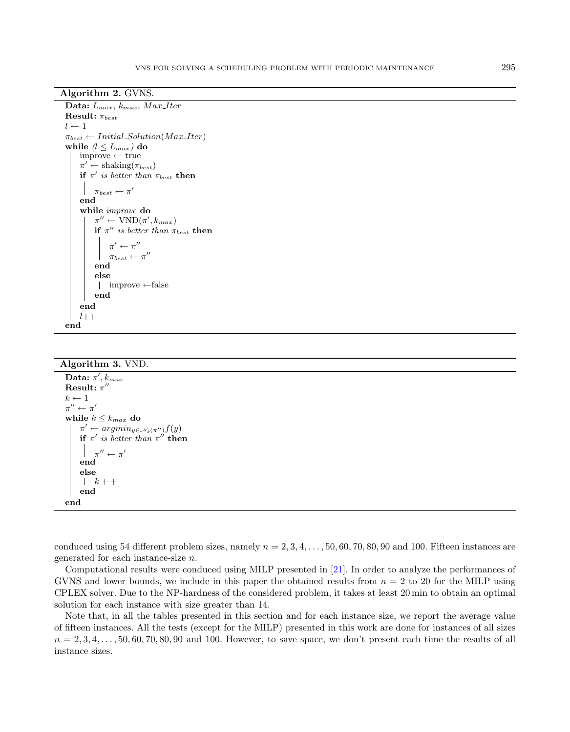Algorithm 2. GVNS.

```
Data: L_{max}, k_{max}, Max\_{Iter}Result: \pi_{best}l \leftarrow 1\pi_{best} \leftarrow Initial\_Solution(Max\_Iter)while (l \le L_{max}) do
    improve ← true
     \pi' \leftarrow \text{shaking}(\pi_{best})if \pi' is better than \pi_{best} then
          \pi_{best} \leftarrow \pi'end
     while improve do
          \pi'' \leftarrow \text{VND}(\pi', k_{max})if \pi'' is better than \pi_{best} then
                \pi' \leftarrow \pi''\pi_{best} \leftarrow \pi''end
          else
           improve ←false
          end
     end
    l++end
```
#### Algorithm 3. VND.

```
Data: \pi', k_{max}{\rm Result:}~\pi''k \leftarrow 1\pi'' \leftarrow \pi'while k\leq k_{max} do
      \pi' \leftarrow argmin_{y \in \mathcal{N}_k(\pi'')} f(y)if \pi' is better than \pi'' then
            \pi'' \leftarrow \pi'end
     else
      \vert k + +end
end
```
conduced using 54 different problem sizes, namely  $n = 2, 3, 4, \ldots, 50, 60, 70, 80, 90$  and 100. Fifteen instances are generated for each instance-size n.

Computational results were conduced using MILP presented in [\[21\]](#page-12-22). In order to analyze the performances of GVNS and lower bounds, we include in this paper the obtained results from  $n = 2$  to 20 for the MILP using CPLEX solver. Due to the NP-hardness of the considered problem, it takes at least 20 min to obtain an optimal solution for each instance with size greater than 14.

Note that, in all the tables presented in this section and for each instance size, we report the average value of fifteen instances. All the tests (except for the MILP) presented in this work are done for instances of all sizes  $n = 2, 3, 4, \ldots, 50, 60, 70, 80, 90$  and 100. However, to save space, we don't present each time the results of all instance sizes.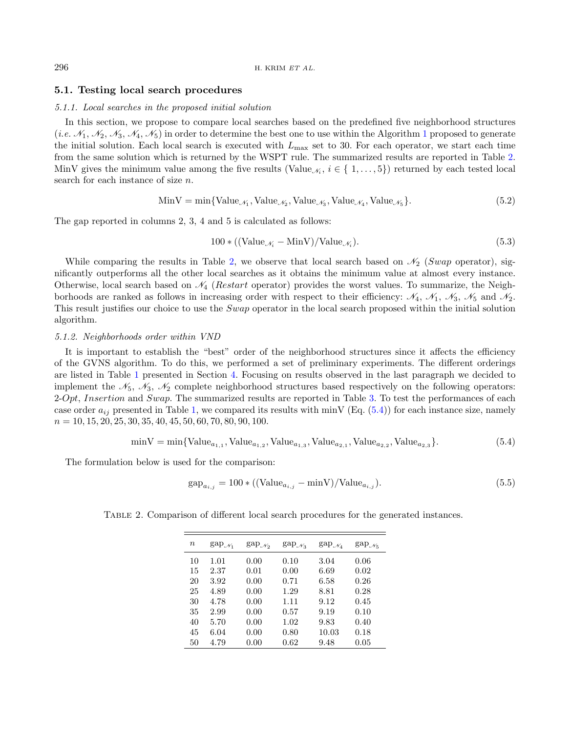# 5.1. Testing local search procedures

#### 5.1.1. Local searches in the proposed initial solution

In this section, we propose to compare local searches based on the predefined five neighborhood structures (*i.e.*  $\mathcal{N}_1, \mathcal{N}_2, \mathcal{N}_3, \mathcal{N}_4, \mathcal{N}_5$  $\mathcal{N}_1, \mathcal{N}_2, \mathcal{N}_3, \mathcal{N}_4, \mathcal{N}_5$  $\mathcal{N}_1, \mathcal{N}_2, \mathcal{N}_3, \mathcal{N}_4, \mathcal{N}_5$ ) in order to determine the best one to use within the Algorithm 1 proposed to generate the initial solution. Each local search is executed with  $L_{\text{max}}$  set to 30. For each operator, we start each time from the same solution which is returned by the WSPT rule. The summarized results are reported in Table [2.](#page-7-0) MinV gives the minimum value among the five results (Value<sub> $\mathcal{N}_i$ </sub>,  $i \in \{1, \ldots, 5\}$ ) returned by each tested local search for each instance of size n.

$$
\text{MinV} = \min\{\text{Value}_{\mathcal{N}_1}, \text{Value}_{\mathcal{N}_2}, \text{Value}_{\mathcal{N}_3}, \text{Value}_{\mathcal{N}_4}, \text{Value}_{\mathcal{N}_5}\}.\tag{5.2}
$$

The gap reported in columns 2, 3, 4 and 5 is calculated as follows:

<span id="page-7-1"></span>
$$
100 * ((Value_{\mathcal{N}_i} - MinV)/Value_{\mathcal{N}_i}).
$$
\n(5.3)

While comparing the results in Table [2,](#page-7-0) we observe that local search based on  $\mathcal{N}_2$  (Swap operator), significantly outperforms all the other local searches as it obtains the minimum value at almost every instance. Otherwise, local search based on  $\mathcal{N}_4$  (Restart operator) provides the worst values. To summarize, the Neighborhoods are ranked as follows in increasing order with respect to their efficiency:  $\mathcal{N}_4$ ,  $\mathcal{N}_1$ ,  $\mathcal{N}_3$ ,  $\mathcal{N}_5$  and  $\mathcal{N}_2$ . This result justifies our choice to use the Swap operator in the local search proposed within the initial solution algorithm.

#### 5.1.2. Neighborhoods order within VND

It is important to establish the "best" order of the neighborhood structures since it affects the efficiency of the GVNS algorithm. To do this, we performed a set of preliminary experiments. The different orderings are listed in Table [1](#page-5-1) presented in Section [4.](#page-3-0) Focusing on results observed in the last paragraph we decided to implement the  $\mathcal{N}_5$ ,  $\mathcal{N}_3$ ,  $\mathcal{N}_2$  complete neighborhood structures based respectively on the following operators:  $2-Opt, Insertion and Swap.$  The summarized results are reported in Table [3.](#page-8-0) To test the performances of each case order  $a_{ij}$  presented in Table [1,](#page-5-1) we compared its results with minV (Eq. [\(5.4\)](#page-7-1)) for each instance size, namely  $n = 10, 15, 20, 25, 30, 35, 40, 45, 50, 60, 70, 80, 90, 100.$ 

<span id="page-7-0"></span>
$$
\min V = \min \{ \text{Value}_{a_{1,1}}, \text{Value}_{a_{1,2}}, \text{Value}_{a_{1,3}}, \text{Value}_{a_{2,1}}, \text{Value}_{a_{2,2}}, \text{Value}_{a_{2,3}} \}. \tag{5.4}
$$

The formulation below is used for the comparison:

$$
gap_{a_{i,j}} = 100 * ((Value_{a_{i,j}} - minV)/Value_{a_{i,j}}).
$$
\n
$$
(5.5)
$$

| $\boldsymbol{n}$ | $\text{gap}_{\mathcal{N}_1}$ | $\text{gap}_{\mathcal{N}_2}$ | $\text{gap}_{\mathcal{N}_3}$ | $\text{gap}_{\mathcal{N}_4}$ | $gap\mathcal{N}_5$ |
|------------------|------------------------------|------------------------------|------------------------------|------------------------------|--------------------|
| 10               | 1.01                         | 0.00                         | 0.10                         | 3.04                         | 0.06               |
| 15               | 2.37                         | 0.01                         | 0.00                         | 6.69                         | 0.02               |
| 20               | 3.92                         | 0.00                         | 0.71                         | 6.58                         | 0.26               |
| 25               | 4.89                         | 0.00                         | 1.29                         | 8.81                         | 0.28               |
| 30               | 4.78                         | 0.00                         | 1.11                         | 9.12                         | 0.45               |
| 35               | 2.99                         | 0.00                         | 0.57                         | 9.19                         | 0.10               |
| 40               | 5.70                         | 0.00                         | 1.02                         | 9.83                         | 0.40               |
| 45               | 6.04                         | 0.00                         | 0.80                         | 10.03                        | 0.18               |
| 50               | 4.79                         | 0.00                         | 0.62                         | 9.48                         | 0.05               |

Table 2. Comparison of different local search procedures for the generated instances.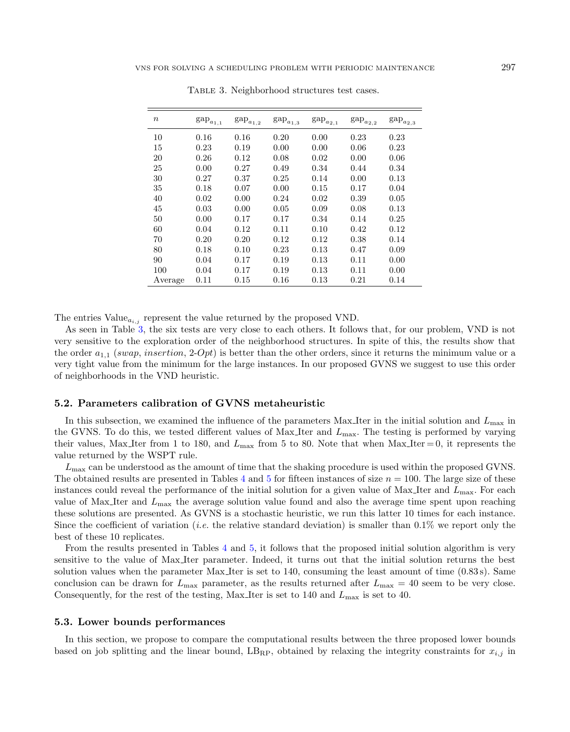| $\boldsymbol{n}$ | $\text{gap}_{a_{1,1}}$ | $gap_{a_{1,2}}$ | $\mathrm{gap}_{a_{1,3}}$ | $gap_{a_{2,1}}$ | $gap_{a_{2,2}}$ | $gap_{a_{2,3}}$ |
|------------------|------------------------|-----------------|--------------------------|-----------------|-----------------|-----------------|
| 10               | 0.16                   | 0.16            | 0.20                     | 0.00            | 0.23            | 0.23            |
| 15               | 0.23                   | 0.19            | 0.00                     | 0.00            | 0.06            | 0.23            |
| 20               | 0.26                   | 0.12            | 0.08                     | 0.02            | 0.00            | 0.06            |
| 25               | 0.00                   | 0.27            | 0.49                     | 0.34            | 0.44            | 0.34            |
| 30               | 0.27                   | 0.37            | 0.25                     | 0.14            | 0.00            | 0.13            |
| 35               | 0.18                   | 0.07            | 0.00                     | 0.15            | 0.17            | 0.04            |
| 40               | 0.02                   | 0.00            | 0.24                     | 0.02            | 0.39            | 0.05            |
| 45               | 0.03                   | 0.00            | 0.05                     | 0.09            | 0.08            | 0.13            |
| 50               | 0.00                   | 0.17            | 0.17                     | 0.34            | 0.14            | 0.25            |
| 60               | 0.04                   | 0.12            | 0.11                     | 0.10            | 0.42            | 0.12            |
| 70               | 0.20                   | 0.20            | 0.12                     | 0.12            | 0.38            | 0.14            |
| 80               | 0.18                   | 0.10            | 0.23                     | 0.13            | 0.47            | 0.09            |
| 90               | 0.04                   | 0.17            | 0.19                     | 0.13            | 0.11            | 0.00            |
| 100              | 0.04                   | 0.17            | 0.19                     | 0.13            | 0.11            | 0.00            |
| Average          | 0.11                   | 0.15            | 0.16                     | 0.13            | 0.21            | 0.14            |

<span id="page-8-0"></span>Table 3. Neighborhood structures test cases.

The entries  $Value_{a_{i,j}}$  represent the value returned by the proposed VND.

As seen in Table [3,](#page-8-0) the six tests are very close to each others. It follows that, for our problem, VND is not very sensitive to the exploration order of the neighborhood structures. In spite of this, the results show that the order  $a_{1,1}$  (swap, insertion, 2-Opt) is better than the other orders, since it returns the minimum value or a very tight value from the minimum for the large instances. In our proposed GVNS we suggest to use this order of neighborhoods in the VND heuristic.

# <span id="page-8-1"></span>5.2. Parameters calibration of GVNS metaheuristic

In this subsection, we examined the influence of the parameters  $Max$  Iter in the initial solution and  $L_{max}$  in the GVNS. To do this, we tested different values of Max Iter and  $L_{\text{max}}$ . The testing is performed by varying their values, Max Iter from 1 to 180, and  $L_{\text{max}}$  from 5 to 80. Note that when Max Iter = 0, it represents the value returned by the WSPT rule.

 $L_{\text{max}}$  can be understood as the amount of time that the shaking procedure is used within the proposed GVNS. The obtained results are presented in Tables [4](#page-9-0) and [5](#page-9-1) for fifteen instances of size  $n = 100$ . The large size of these instances could reveal the performance of the initial solution for a given value of Max Iter and  $L_{\text{max}}$ . For each value of Max Iter and  $L_{\text{max}}$  the average solution value found and also the average time spent upon reaching these solutions are presented. As GVNS is a stochastic heuristic, we run this latter 10 times for each instance. Since the coefficient of variation (*i.e.* the relative standard deviation) is smaller than  $0.1\%$  we report only the best of these 10 replicates.

From the results presented in Tables [4](#page-9-0) and [5,](#page-9-1) it follows that the proposed initial solution algorithm is very sensitive to the value of Max Iter parameter. Indeed, it turns out that the initial solution returns the best solution values when the parameter Max Iter is set to 140, consuming the least amount of time (0.83 s). Same conclusion can be drawn for  $L_{\text{max}}$  parameter, as the results returned after  $L_{\text{max}} = 40$  seem to be very close. Consequently, for the rest of the testing, Max<sub>Iter</sub> is set to 140 and  $L_{\text{max}}$  is set to 40.

#### 5.3. Lower bounds performances

In this section, we propose to compare the computational results between the three proposed lower bounds based on job splitting and the linear bound,  $LB_{RP}$ , obtained by relaxing the integrity constraints for  $x_{i,j}$  in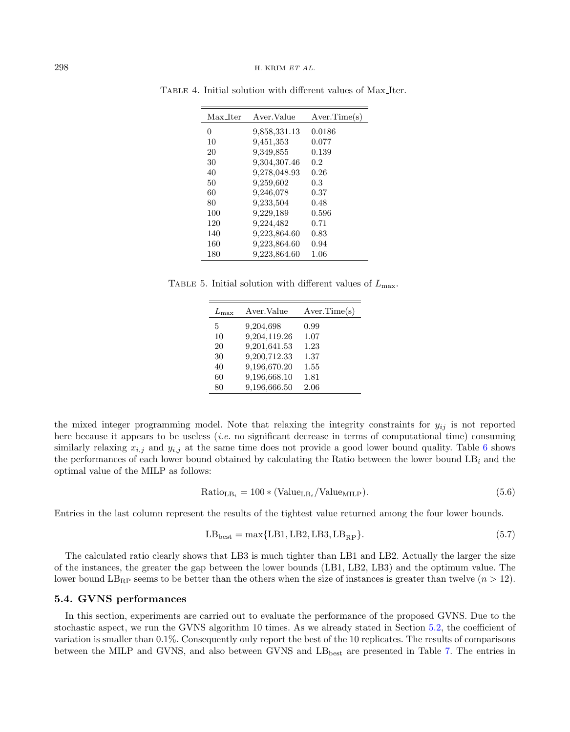<span id="page-9-1"></span>

| Max_Iter | Aver.Value   | Aver.Time(s) |
|----------|--------------|--------------|
| 0        | 9,858,331.13 | 0.0186       |
| 10       | 9,451,353    | 0.077        |
| 20       | 9,349,855    | 0.139        |
| 30       | 9,304,307.46 | 0.2          |
| 40       | 9,278,048.93 | 0.26         |
| 50       | 9,259,602    | 0.3          |
| 60       | 9,246,078    | 0.37         |
| 80       | 9,233,504    | 0.48         |
| 100      | 9,229,189    | 0.596        |
| 120      | 9,224,482    | 0.71         |
| 140      | 9,223,864.60 | 0.83         |
| 160      | 9,223,864.60 | 0.94         |
| 180      | 9,223,864.60 | 1.06         |

<span id="page-9-0"></span>Table 4. Initial solution with different values of Max Iter.

TABLE 5. Initial solution with different values of  $L_{\text{max}}$ .

| $_{lmav}$ | Aver.Value   | Aver.Time(s) |
|-----------|--------------|--------------|
| 5         | 9,204,698    | 0.99         |
| 10        | 9,204,119.26 | 1.07         |
| 20        | 9,201,641.53 | 1.23         |
| 30        | 9,200,712.33 | 1.37         |
| 40        | 9,196,670.20 | 1.55         |
| 60        | 9,196,668.10 | 1.81         |
| 80        | 9,196,666.50 | 2.06         |

the mixed integer programming model. Note that relaxing the integrity constraints for  $y_{ij}$  is not reported here because it appears to be useless (*i.e.* no significant decrease in terms of computational time) consuming similarly relaxing  $x_{i,j}$  and  $y_{i,j}$  at the same time does not provide a good lower bound quality. Table [6](#page-10-0) shows the performances of each lower bound obtained by calculating the Ratio between the lower bound  $LB<sub>i</sub>$  and the optimal value of the MILP as follows:

$$
Ratio_{LB_i} = 100 * (Value_{LB_i}/Value_{MILP}). \tag{5.6}
$$

Entries in the last column represent the results of the tightest value returned among the four lower bounds.

$$
LB_{best} = \max\{LB1, LB2, LB3, LB_{RP}\}.\tag{5.7}
$$

The calculated ratio clearly shows that LB3 is much tighter than LB1 and LB2. Actually the larger the size of the instances, the greater the gap between the lower bounds (LB1, LB2, LB3) and the optimum value. The lower bound  $LB_{RP}$  seems to be better than the others when the size of instances is greater than twelve  $(n > 12)$ .

# 5.4. GVNS performances

In this section, experiments are carried out to evaluate the performance of the proposed GVNS. Due to the stochastic aspect, we run the GVNS algorithm 10 times. As we already stated in Section [5.2,](#page-8-1) the coefficient of variation is smaller than 0.1%. Consequently only report the best of the 10 replicates. The results of comparisons between the MILP and GVNS, and also between GVNS and LB<sub>best</sub> are presented in Table [7.](#page-11-1) The entries in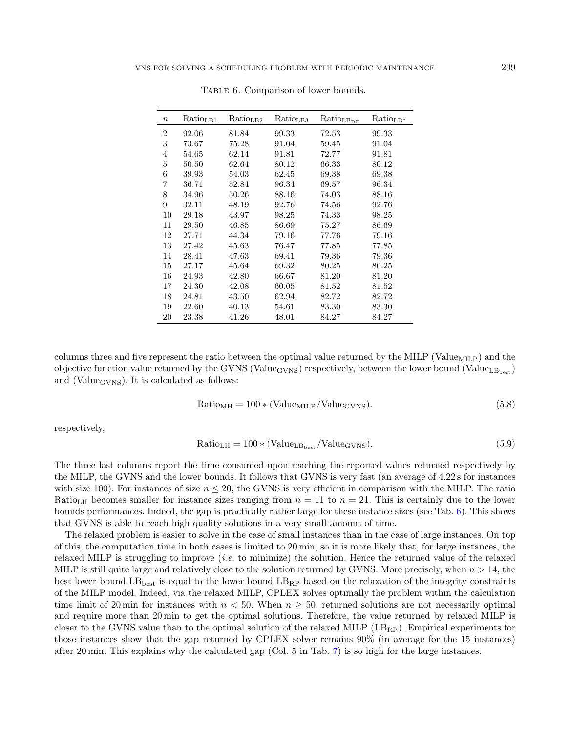| $\boldsymbol{n}$ | Ratio <sub>LB1</sub> | Ratio <sub>LB2</sub> | Ratio <sub>LB3</sub> | $\mathrm{Ratio}_{\mathrm{LB}_\mathrm{RP}}$ | $Ratio_{LB*}$ |
|------------------|----------------------|----------------------|----------------------|--------------------------------------------|---------------|
| $\overline{2}$   | 92.06                | 81.84                | 99.33                | 72.53                                      | 99.33         |
| 3                | 73.67                | 75.28                | 91.04                | 59.45                                      | 91.04         |
| 4                | 54.65                | 62.14                | 91.81                | 72.77                                      | 91.81         |
| 5                | 50.50                | 62.64                | 80.12                | 66.33                                      | 80.12         |
| 6                | 39.93                | 54.03                | 62.45                | 69.38                                      | 69.38         |
| 7                | 36.71                | 52.84                | 96.34                | 69.57                                      | 96.34         |
| 8                | 34.96                | 50.26                | 88.16                | 74.03                                      | 88.16         |
| 9                | 32.11                | 48.19                | 92.76                | 74.56                                      | 92.76         |
| 10               | 29.18                | 43.97                | 98.25                | 74.33                                      | 98.25         |
| 11               | 29.50                | 46.85                | 86.69                | 75.27                                      | 86.69         |
| 12               | 27.71                | 44.34                | 79.16                | 77.76                                      | 79.16         |
| 13               | 27.42                | 45.63                | 76.47                | 77.85                                      | 77.85         |
| 14               | 28.41                | 47.63                | 69.41                | 79.36                                      | 79.36         |
| 15               | 27.17                | 45.64                | 69.32                | 80.25                                      | 80.25         |
| 16               | 24.93                | 42.80                | 66.67                | 81.20                                      | 81.20         |
| 17               | 24.30                | 42.08                | 60.05                | 81.52                                      | 81.52         |
| 18               | 24.81                | 43.50                | 62.94                | 82.72                                      | 82.72         |
| 19               | 22.60                | 40.13                | 54.61                | 83.30                                      | 83.30         |
| 20               | 23.38                | 41.26                | 48.01                | 84.27                                      | 84.27         |

<span id="page-10-0"></span>TABLE 6. Comparison of lower bounds.

columns three and five represent the ratio between the optimal value returned by the MILP (Value<sub>MILP</sub>) and the objective function value returned by the GVNS (Value<sub>GVNS</sub>) respectively, between the lower bound (Value<sub>LBbest</sub>) and (Value<sub>GVNS</sub>). It is calculated as follows:

$$
Ratio_{MH} = 100 * (Value_{MILP}/Value_{GVNS}). \tag{5.8}
$$

respectively,

$$
Ratio_{LH} = 100 * (Value_{LB_{best}} / Value_{GVNS}). \tag{5.9}
$$

The three last columns report the time consumed upon reaching the reported values returned respectively by the MILP, the GVNS and the lower bounds. It follows that GVNS is very fast (an average of 4.22 s for instances with size 100). For instances of size  $n \leq 20$ , the GVNS is very efficient in comparison with the MILP. The ratio Ratio<sub>LH</sub> becomes smaller for instance sizes ranging from  $n = 11$  to  $n = 21$ . This is certainly due to the lower bounds performances. Indeed, the gap is practically rather large for these instance sizes (see Tab. [6\)](#page-10-0). This shows that GVNS is able to reach high quality solutions in a very small amount of time.

The relaxed problem is easier to solve in the case of small instances than in the case of large instances. On top of this, the computation time in both cases is limited to 20 min, so it is more likely that, for large instances, the relaxed MILP is struggling to improve (i.e. to minimize) the solution. Hence the returned value of the relaxed MILP is still quite large and relatively close to the solution returned by GVNS. More precisely, when  $n > 14$ , the best lower bound  $LB_{best}$  is equal to the lower bound  $LB_{RP}$  based on the relaxation of the integrity constraints of the MILP model. Indeed, via the relaxed MILP, CPLEX solves optimally the problem within the calculation time limit of 20 min for instances with  $n < 50$ . When  $n \ge 50$ , returned solutions are not necessarily optimal and require more than 20 min to get the optimal solutions. Therefore, the value returned by relaxed MILP is closer to the GVNS value than to the optimal solution of the relaxed MILP  $(LB_{RP})$ . Empirical experiments for those instances show that the gap returned by CPLEX solver remains 90% (in average for the 15 instances) after 20 min. This explains why the calculated gap (Col. 5 in Tab. [7\)](#page-11-1) is so high for the large instances.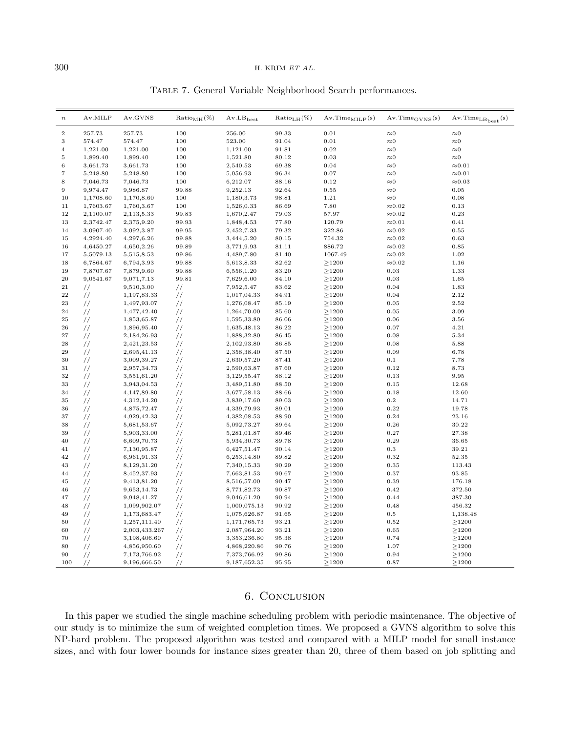## $300$  H. KRIM  $ETAL$ .

| $\boldsymbol{n}$  | Av.MILP       | Av.GVNS       | $Ratio_{MH}(\%)$ | $Av.LB_{best}$ | $Ratio_{L,H}(\%)$ | $Av. Time_{MILP}(s)$ | $Av. Time_{GVNS}(s)$ | $Av-TimeLBbest(s)$ |
|-------------------|---------------|---------------|------------------|----------------|-------------------|----------------------|----------------------|--------------------|
| $\boldsymbol{2}$  | 257.73        | 257.73        | 100              | 256.00         | 99.33             | 0.01                 | $\approx 0$          | ${\approx}0$       |
| 3                 | 574.47        | 574.47        | 100              | 523.00         | 91.04             | 0.01                 | $\approx 0$          | $\approx\!0$       |
| $\overline{4}$    | 1,221.00      | 1,221.00      | 100              | 1,121.00       | 91.81             | 0.02                 | $\approx 0$          | ${\approx}0$       |
| $\,$ 5            | 1,899.40      | 1,899.40      | 100              | 1,521.80       | 80.12             | 0.03                 | $\approx 0$          | ${\approx}0$       |
| $\,$ 6 $\,$       | 3,661.73      | 3,661.73      | 100              | 2,540.53       | 69.38             | 0.04                 | ${\approx}0$         | ${\approx}0.01$    |
| $\scriptstyle{7}$ | 5,248.80      | 5,248.80      | 100              | 5,056.93       | 96.34             | 0.07                 | $\approx 0$          | ${\approx}0.01$    |
| $\,$ 8 $\,$       | 7,046.73      | 7,046.73      | 100              | 6,212.07       | 88.16             | 0.12                 | ${\approx}0$         | ${\approx}0.03$    |
| $\overline{9}$    | 9,974.47      | 9,986.87      | 99.88            | 9,252.13       | 92.64             | 0.55                 | ${\approx}0$         | $\rm 0.05$         |
| 10                | 1,1708.60     | 1,170,8.60    | 100              | 1,180,3.73     | 98.81             | 1.21                 | $\approx 0$          | 0.08               |
| 11                | 1,7603.67     | 1,760,3.67    | 100              | 1,526,0.33     | 86.69             | 7.80                 | ${\approx}0.02$      | 0.13               |
| 12                | 2,1100.07     | 2,113,5.33    | 99.83            | 1,670,2.47     | 79.03             | 57.97                | $\approx 0.02$       | 0.23               |
| 13                | 2,3742.47     | 2,375,9.20    | 99.93            | 1,848,4.53     | 77.80             | 120.79               | ${\approx}0.01$      | 0.41               |
| 14                | 3,0907.40     | 3,092,3.87    | 99.95            | 2,452,7.33     | 79.32             | 322.86               | ${\approx}0.02$      | $\rm 0.55$         |
| 15                | 4,2924.40     | 4,297,6.26    | 99.88            | 3,444,5.20     | 80.15             | 754.32               | ${\approx}0.02$      | 0.63               |
| 16                | 4,6450.27     | 4,650,2.26    | 99.89            | 3,771,9.93     | 81.11             | 886.72               | ${\approx}0.02$      | 0.85               |
| 17                | 5,5079.13     | 5,515,8.53    | 99.86            | 4,489,7.80     | 81.40             | 1067.49              | ${\approx}0.02$      | 1.02               |
| 18                | 6,7864.67     | 6,794,3.93    | 99.88            | 5,613,8.33     | 82.62             | $\geq$ 1200          | ${\approx}0.02$      | 1.16               |
| 19                | 7,8707.67     | 7,879,9.60    | 99.88            | 6,556,1.20     | 83.20             | $\geq$ 1200          | 0.03                 | 1.33               |
| 20                | 9,0541.67     | 9,071,7.13    | 99.81            | 7,629,6.00     | 84.10             | $\geq$ 1200          | 0.03                 | 1.65               |
| 21                | //            | 9,510,3.00    | $\frac{1}{2}$    | 7,952,5.47     | 83.62             | >1200                | 0.04                 | 1.83               |
| 22                | $\frac{1}{2}$ | 1,197,83.33   | $\frac{1}{2}$    | 1,017,04.33    | 84.91             | $\geq$ 1200          | 0.04                 | 2.12               |
| 23                | $\frac{1}{2}$ | 1,497,93.07   | 77               | 1,276,08.47    | 85.19             | ${\geq}1200$         | 0.05                 | 2.52               |
| 24                | $\frac{1}{2}$ | 1,477,42.40   | $\frac{1}{2}$    | 1,264,70.00    | 85.60             | $\geq$ 1200          | 0.05                 | 3.09               |
| $\bf 25$          | $\frac{1}{2}$ | 1,853,65.87   | $\frac{1}{2}$    | 1,595,33.80    | 86.06             | $\geq$ 1200          | 0.06                 | 3.56               |
| 26                | $\frac{1}{2}$ | 1,896,95.40   | $\frac{1}{2}$    | 1,635,48.13    | 86.22             | >1200                | 0.07                 | 4.21               |
| $^{\rm 27}$       | $\frac{1}{2}$ | 2,184,26.93   | 77               | 1,888,32.80    | 86.45             | $\geq$ 1200          | 0.08                 | 5.34               |
| 28                | $\frac{1}{2}$ | 2,421,23.53   | $\frac{1}{2}$    | 2,102,93.80    | 86.85             | ${\geq}1200$         | 0.08                 | 5.88               |
| 29                | $\frac{1}{2}$ | 2,695,41.13   | $\frac{1}{2}$    | 2,358,38.40    | 87.50             | ${\geq}1200$         | 0.09                 | 6.78               |
| 30                | $\frac{1}{2}$ | 3,009,39.27   | $\frac{1}{2}$    | 2,630,57.20    | 87.41             | >1200                | $0.1\,$              | 7.78               |
| $3\sqrt{1}$       | $\frac{1}{2}$ | 2,957,34.73   | $\frac{1}{2}$    | 2,590,63.87    | 87.60             | $\geq$ 1200          | 0.12                 | 8.73               |
| 32                | $\frac{1}{2}$ | 3,551,61.20   | $\frac{1}{2}$    | 3,129,55.47    | 88.12             | $\geq$ 1200          | 0.13                 | 9.95               |
| 33                | $\frac{1}{2}$ | 3,943,04.53   | $\frac{1}{2}$    | 3,489,51.80    | 88.50             | $\geq$ 1200          | 0.15                 | 12.68              |
| 34                | $\frac{1}{2}$ | 4,147,89.80   | $\frac{1}{2}$    | 3,677,58.13    | 88.66             | $\geq$ 1200          | 0.18                 | 12.60              |
| 35                | $\frac{1}{2}$ | 4,312,14.20   | $\frac{1}{2}$    | 3,839,17.60    | 89.03             | $\geq$ 1200          | $\rm 0.2$            | 14.71              |
| 36                | $\frac{1}{2}$ | 4,875,72.47   | $\frac{1}{2}$    | 4,339,79.93    | 89.01             | $\geq$ 1200          | 0.22                 | 19.78              |
| 37                | $\frac{1}{2}$ | 4,929,42.33   | $\frac{1}{2}$    | 4,382,08.53    | 88.90             | $\geq$ 1200          | 0.24                 | 23.16              |
| 38                | $\frac{1}{2}$ | 5,681,53.67   | $\frac{1}{2}$    | 5,092,73.27    | 89.64             | $\geq$ 1200          | 0.26                 | 30.22              |
| 39                | $\frac{1}{2}$ | 5,903,33.00   | $\frac{1}{2}$    | 5,281,01.87    | 89.46             | $\geq$ 1200          | 0.27                 | 27.38              |
| 40                | $\frac{1}{2}$ | 6,609,70.73   | $\frac{1}{2}$    | 5,934,30.73    | 89.78             | $\geq$ 1200          | 0.29                 | 36.65              |
| 41                | $\frac{1}{2}$ | 7,130,95.87   | $\frac{1}{2}$    | 6,427,51.47    | 90.14             | >1200                | 0.3                  | 39.21              |
| 42                | $\frac{1}{2}$ | 6,961,91.33   | $\frac{1}{2}$    | 6,253,14.80    | 89.82             | $\geq$ 1200          | 0.32                 | 52.35              |
| 43                | $\frac{1}{2}$ | 8,129,31.20   | $\frac{1}{2}$    | 7,340,15.33    | 90.29             | >1200                | 0.35                 | 113.43             |
| 44                | $\frac{1}{2}$ | 8,452,37.93   | $\frac{1}{2}$    | 7,663,81.53    | 90.67             | $\geq$ 1200          | 0.37                 | 93.85              |
| 45                | $\frac{1}{2}$ | 9,413,81.20   | $\frac{1}{2}$    | 8,516,57.00    | 90.47             | $\geq$ 1200          | 0.39                 | 176.18             |
| 46                | $\frac{1}{2}$ | 9,653,14.73   | $\frac{1}{2}$    | 8,771,82.73    | 90.87             | $\geq$ 1200          | 0.42                 | 372.50             |
| 47                | $\frac{1}{2}$ | 9,948,41.27   | $\frac{1}{2}$    | 9,046,61.20    | 90.94             | ${\geq}1200$         | 0.44                 | 387.30             |
| 48                | $\frac{1}{2}$ | 1,099,902.07  | $\frac{1}{2}$    | 1,000,075.13   | 90.92             | ${\geq}1200$         | 0.48                 | 456.32             |
| 49                | $\frac{1}{2}$ | 1,173,683.47  | $\frac{1}{2}$    | 1,075,626.87   | 91.65             | $\geq$ 1200          | $0.5\,$              | 1,138.48           |
| 50                | $\frac{1}{2}$ | 1,257,111.40  | $\frac{1}{2}$    | 1,171,765.73   | 93.21             | $\geq$ 1200          | 0.52                 | $\geq$ 1200        |
| 60                | $\frac{1}{2}$ | 2,003,433.267 | $\frac{1}{2}$    | 2,087,964.20   | 93.21             | ${\geq}1200$         | 0.65                 | $\geq$ 1200        |
| 70                | $\frac{1}{2}$ | 3,198,406.60  | $\frac{1}{2}$    | 3,353,236.80   | 95.38             | ${\geq}1200$         | 0.74                 | $\geq$ 1200        |
| 80                | $\frac{1}{2}$ | 4,856,950.60  | $\frac{1}{2}$    | 4,868,220.86   | 99.76             | $\geq$ 1200          | 1.07                 | $\geq$ 1200        |
| 90                | $\frac{1}{2}$ | 7,173,766.92  | $\frac{1}{2}$    | 7,373,766.92   | 99.86             | $\geq$ 1200          | 0.94                 | $\geq$ 1200        |
| 100               | 77            | 9,196,666.50  | 77               | 9,187,652.35   | 95.95             | ${\geq}1200$         | 0.87                 | $\geq$ 1200        |

<span id="page-11-1"></span>Table 7. General Variable Neighborhood Search performances.

# 6. Conclusion

<span id="page-11-0"></span>In this paper we studied the single machine scheduling problem with periodic maintenance. The objective of our study is to minimize the sum of weighted completion times. We proposed a GVNS algorithm to solve this NP-hard problem. The proposed algorithm was tested and compared with a MILP model for small instance sizes, and with four lower bounds for instance sizes greater than 20, three of them based on job splitting and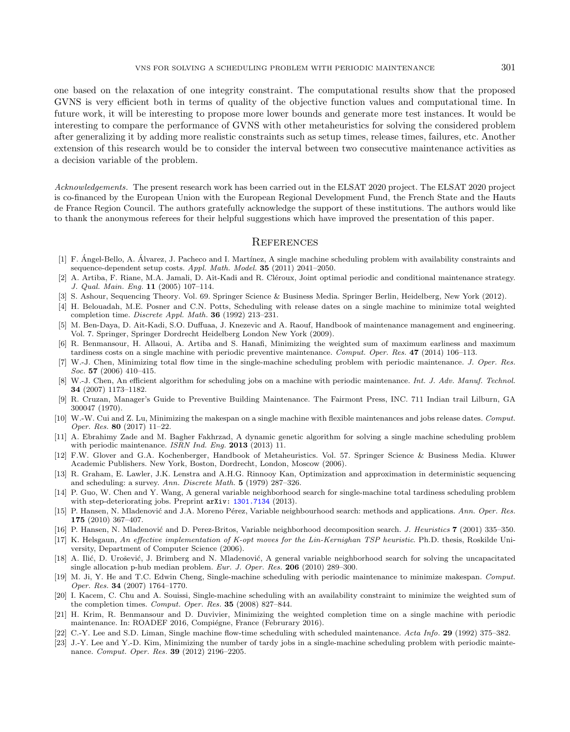<span id="page-12-13"></span>one based on the relaxation of one integrity constraint. The computational results show that the proposed GVNS is very efficient both in terms of quality of the objective function values and computational time. In future work, it will be interesting to propose more lower bounds and generate more test instances. It would be interesting to compare the performance of GVNS with other metaheuristics for solving the considered problem after generalizing it by adding more realistic constraints such as setup times, release times, failures, etc. Another extension of this research would be to consider the interval between two consecutive maintenance activities as a decision variable of the problem.

<span id="page-12-14"></span><span id="page-12-11"></span><span id="page-12-4"></span><span id="page-12-1"></span><span id="page-12-0"></span>Acknowledgements. The present research work has been carried out in the ELSAT 2020 project. The ELSAT 2020 project is co-financed by the European Union with the European Regional Development Fund, the French State and the Hauts de France Region Council. The authors gratefully acknowledge the support of these institutions. The authors would like to thank the anonymous referees for their helpful suggestions which have improved the presentation of this paper.

# **REFERENCES**

- <span id="page-12-10"></span><span id="page-12-8"></span><span id="page-12-2"></span>[1] F. Ángel-Bello, A. Álvarez, J. Pacheco and I. Martínez, A single machine scheduling problem with availability constraints and sequence-dependent setup costs. Appl. Math. Model. 35 (2011) 2041–2050.
- <span id="page-12-12"></span>A. Artiba, F. Riane, M.A. Jamali, D. Ait-Kadi and R. Cléroux, Joint optimal periodic and conditional maintenance strategy. J. Qual. Main. Eng. 11 (2005) 107–114.
- <span id="page-12-9"></span>[3] S. Ashour, Sequencing Theory. Vol. 69. Springer Science & Business Media. Springer Berlin, Heidelberg, New York (2012).
- [4] H. Belouadah, M.E. Posner and C.N. Potts, Scheduling with release dates on a single machine to minimize total weighted completion time. Discrete Appl. Math. 36 (1992) 213–231.
- <span id="page-12-21"></span>[5] M. Ben-Daya, D. Ait-Kadi, S.O. Duffuaa, J. Knezevic and A. Raouf, Handbook of maintenance management and engineering. Vol. 7. Springer, Springer Dordrecht Heidelberg London New York (2009).
- <span id="page-12-3"></span>[6] R. Benmansour, H. Allaoui, A. Artiba and S. Hanafi, Minimizing the weighted sum of maximum earliness and maximum tardiness costs on a single machine with periodic preventive maintenance. Comput. Oper. Res. 47 (2014) 106–113.
- <span id="page-12-20"></span>[7] W.-J. Chen, Minimizing total flow time in the single-machine scheduling problem with periodic maintenance. J. Oper. Res. Soc. 57 (2006) 410-415.
- <span id="page-12-16"></span>[8] W.-J. Chen, An efficient algorithm for scheduling jobs on a machine with periodic maintenance. Int. J. Adv. Manuf. Technol. 34 (2007) 1173–1182.
- <span id="page-12-19"></span><span id="page-12-17"></span>[9] R. Cruzan, Manager's Guide to Preventive Building Maintenance. The Fairmont Press, INC. 711 Indian trail Lilburn, GA 300047 (1970).
- <span id="page-12-18"></span>[10] W.-W. Cui and Z. Lu, Minimizing the makespan on a single machine with flexible maintenances and jobs release dates. Comput. Oper. Res. 80 (2017) 11–22.
- <span id="page-12-7"></span>[11] A. Ebrahimy Zade and M. Bagher Fakhrzad, A dynamic genetic algorithm for solving a single machine scheduling problem with periodic maintenance. ISRN Ind. Eng. 2013 (2013) 11.
- <span id="page-12-15"></span>[12] F.W. Glover and G.A. Kochenberger, Handbook of Metaheuristics. Vol. 57. Springer Science & Business Media. Kluwer Academic Publishers. New York, Boston, Dordrecht, London, Moscow (2006).
- <span id="page-12-22"></span>[13] R. Graham, E. Lawler, J.K. Lenstra and A.H.G. Rinnooy Kan, Optimization and approximation in deterministic sequencing and scheduling: a survey. Ann. Discrete Math. 5 (1979) 287–326.
- <span id="page-12-5"></span>[14] P. Guo, W. Chen and Y. Wang, A general variable neighborhood search for single-machine total tardiness scheduling problem with step-deteriorating jobs. Preprint arXiv: [1301.7134](https://arxiv.org/abs/1301.7134) (2013).
- <span id="page-12-6"></span>[15] P. Hansen, N. Mladenović and J.A. Moreno Pérez, Variable neighbourhood search: methods and applications. Ann. Oper. Res. 175 (2010) 367–407.
- [16] P. Hansen, N. Mladenović and D. Perez-Britos, Variable neighborhood decomposition search. J. Heuristics 7 (2001) 335–350.
- [17] K. Helsgaun, An effective implementation of K-opt moves for the Lin-Kernighan TSP heuristic. Ph.D. thesis, Roskilde University, Department of Computer Science (2006).
- [18] A. Ilić, D. Urošević, J. Brimberg and N. Mladenović, A general variable neighborhood search for solving the uncapacitated single allocation p-hub median problem. Eur. J. Oper. Res. 206 (2010) 289–300.
- [19] M. Ji, Y. He and T.C. Edwin Cheng, Single-machine scheduling with periodic maintenance to minimize makespan. Comput. Oper. Res. 34 (2007) 1764–1770.
- [20] I. Kacem, C. Chu and A. Souissi, Single-machine scheduling with an availability constraint to minimize the weighted sum of the completion times. Comput. Oper. Res. 35 (2008) 827–844.
- [21] H. Krim, R. Benmansour and D. Duvivier, Minimizing the weighted completion time on a single machine with periodic maintenance. In: ROADEF 2016, Compiégne, France (Februrary 2016).
- [22] C.-Y. Lee and S.D. Liman, Single machine flow-time scheduling with scheduled maintenance. Acta Info. 29 (1992) 375–382.
- [23] J.-Y. Lee and Y.-D. Kim, Minimizing the number of tardy jobs in a single-machine scheduling problem with periodic maintenance. Comput. Oper. Res. 39 (2012) 2196–2205.